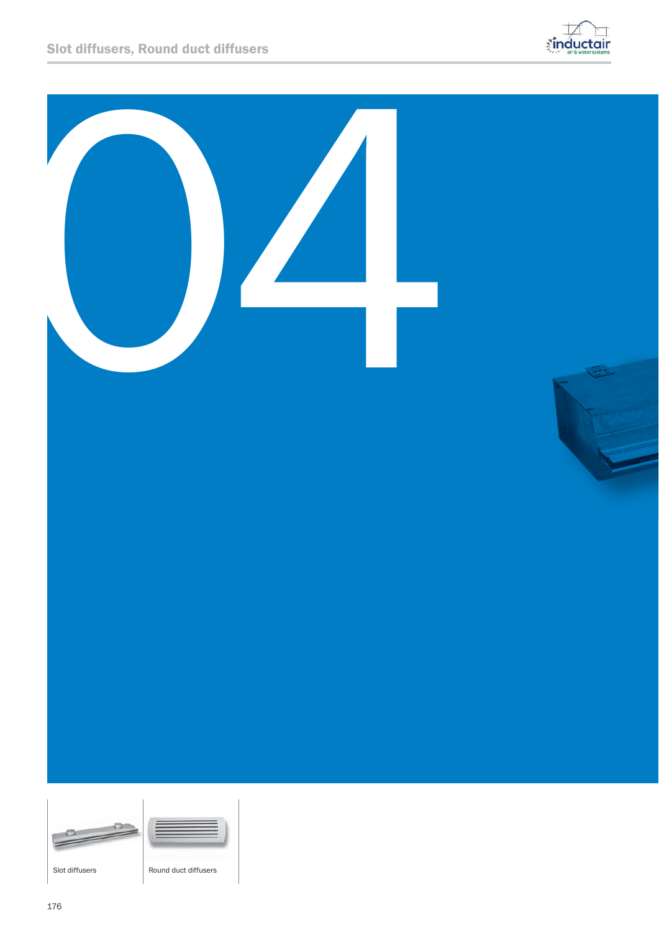



a.



Slot diffusers **Round duct diffusers**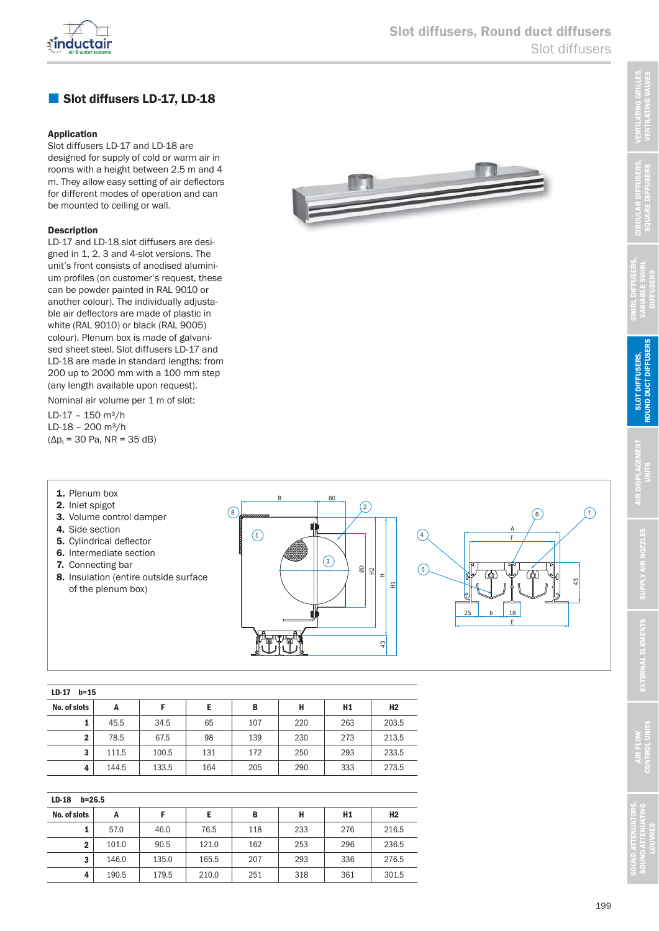

# Slot diffusers LD-17, LD-18

#### Application

Slot diffusers LD-17 and LD-18 are designed for supply of cold or warm air in rooms with a height between 2.5 m and 4 m. They allow easy setting of air deflectors for different modes of operation and can be mounted to ceiling or wall.

#### Description

LD-17 and LD-18 slot diffusers are designed in 1, 2, 3 and 4-slot versions. The unit's front consists of anodised alumini um profiles (on customer's request, these can be powder painted in RAL 9010 or another colour). The individually adjustable air deflectors are made of plastic in white (RAL 9010) or black (RAL 9005) colour). Plenum box is made of galvanised sheet steel. Slot diffusers LD-17 and LD-18 are made in standard lengths: from 200 up to 2000 mm with a  $100$  mm step (any length available upon request).

Nominal air volume per 1 m of slot:

LD-17 - 150 m<sup>3</sup>/h LD-18 - 200 m<sup>3</sup>/h  $(\Delta p_t = 30 \text{ Pa}, \text{ NR} = 35 \text{ dB})$ 

2. Inlet spigot



F A b E  $\bigcap$  $8)$  $\binom{3}{ }$  $\binom{4}{4}$  $\binom{5}{ }$  $\circledcirc$  6  $25$  b 18  $\frac{1}{2}$ ØD  $\tilde{E}$ ᆂ H1 **1.** Plenum box  $\overline{B}$  60 3. Volume control damper 4. Side section 5. Cylindrical deflector 6. Intermediate section 7. Connecting bar 8. Insulation (entire outside surface of the plenum box)

| LD-17<br>$b = 15$ |       |       |     |     |     |     |                |
|-------------------|-------|-------|-----|-----|-----|-----|----------------|
| No. of slots      | А     |       | Е   | В   | Н   | H1  | H <sub>2</sub> |
|                   | 45.5  | 34.5  | 65  | 107 | 220 | 263 | 203.5          |
| $\mathbf{2}$      | 78.5  | 67.5  | 98  | 139 | 230 | 273 | 213.5          |
| 3                 | 111.5 | 100.5 | 131 | 172 | 250 | 293 | 233.5          |
| 4                 | 144.5 | 133.5 | 164 | 205 | 290 | 333 | 273.5          |

| $LD-18$<br>$b = 26.5$ |       |       |       |     |     |                |                |
|-----------------------|-------|-------|-------|-----|-----|----------------|----------------|
| No. of slots          | А     |       | Е     | B   | н   | H <sub>1</sub> | H <sub>2</sub> |
|                       | 57.0  | 46.0  | 76.5  | 118 | 233 | 276            | 216.5          |
| $\mathbf{2}$          | 101.0 | 90.5  | 121.0 | 162 | 253 | 296            | 236.5          |
| 3                     | 146.0 | 135.0 | 165.5 | 207 | 293 | 336            | 276.5          |
| 4                     | 190.5 | 179.5 | 210.0 | 251 | 318 | 361            | 301.5          |

VENTILATING GRILLES, VENTILATING VALVES

'ENTILATING GRILLE!<br>VENTILATING VALVES

CIRCULAR DIFFUSERS, SQUARE DIFFUSERS

SWIRL DIFFUSERS, VARIABLE SWIRL **DIFFUSERS** 

> SLOT DIFFUSERS, ROUND DUCT DIFFUSERS

ROUND DUCT DIFFUSERS SLOT DIFFUSERS,

AIR DISPLACEMENT UNITS

্ৰ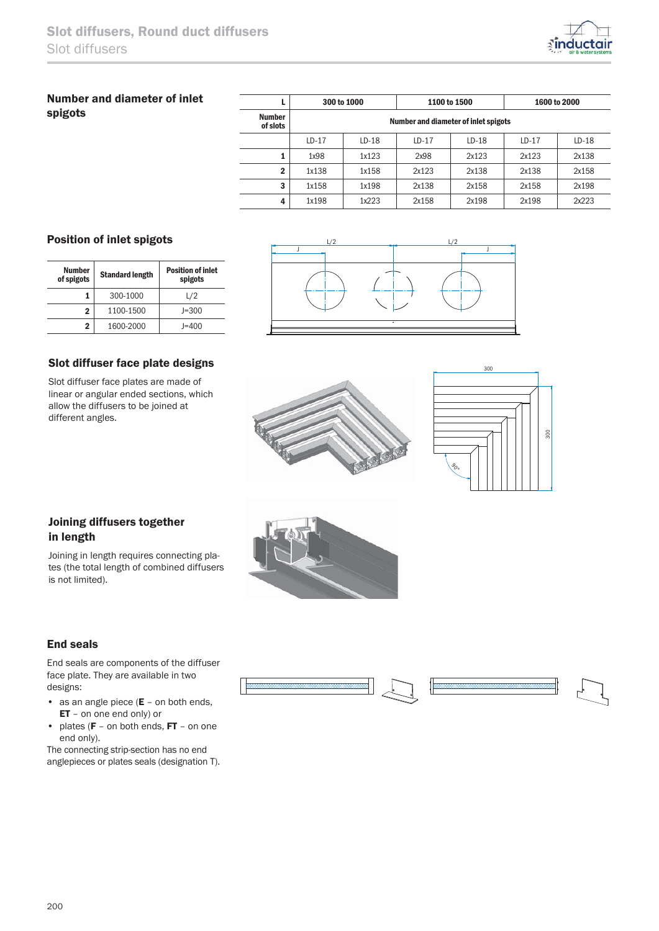

# Number and diameter of inlet spigots

|                           |         | 300 to 1000 |         | 1100 to 1500                         | 1600 to 2000 |         |  |  |
|---------------------------|---------|-------------|---------|--------------------------------------|--------------|---------|--|--|
| <b>Number</b><br>of slots |         |             |         | Number and diameter of inlet spigots |              |         |  |  |
|                           | $LD-17$ | $LD-18$     | $LD-17$ | $LD-18$                              | $LD-17$      | $LD-18$ |  |  |
|                           | 1x98    | 1x123       | 2x98    | 2x123                                | 2x123        | 2x138   |  |  |
| $\mathbf{2}$              | 1x138   | 1x158       | 2x123   | 2x138                                | 2x138        | 2x158   |  |  |
| 3                         | 1x158   | 1x198       | 2x138   | 2x158                                | 2x158        | 2x198   |  |  |
| 4                         | 1x198   | 1x223       | 2x158   | 2x198                                | 2x198        | 2x223   |  |  |

## Position of inlet spigots

| <b>Number</b><br>of spigots | <b>Standard length</b> | <b>Position of inlet</b><br>spigots |
|-----------------------------|------------------------|-------------------------------------|
|                             | 300-1000               | L/2                                 |
| 2                           | 1100-1500              | $J = 300$                           |
| 2                           | 1600-2000              | $I = 400$                           |



### Slot diffuser face plate designs

Slot diffuser face plates are made of linear or angular ended sections, which allow the diffusers to be joined at different angles.





## Joining diffusers together in length

Joining in length requires connecting pla tes (the total length of combined diffusers is not limited).

### End seals

End seals are components of the diffuser face plate. They are available in two designs:

- as an angle piece  $(E on both ends,$ ET – on one end only) or
- plates ( $F -$  on both ends,  $FT -$  on one end only).

The connecting strip-section has no end anglepieces or plates seals (designation T).





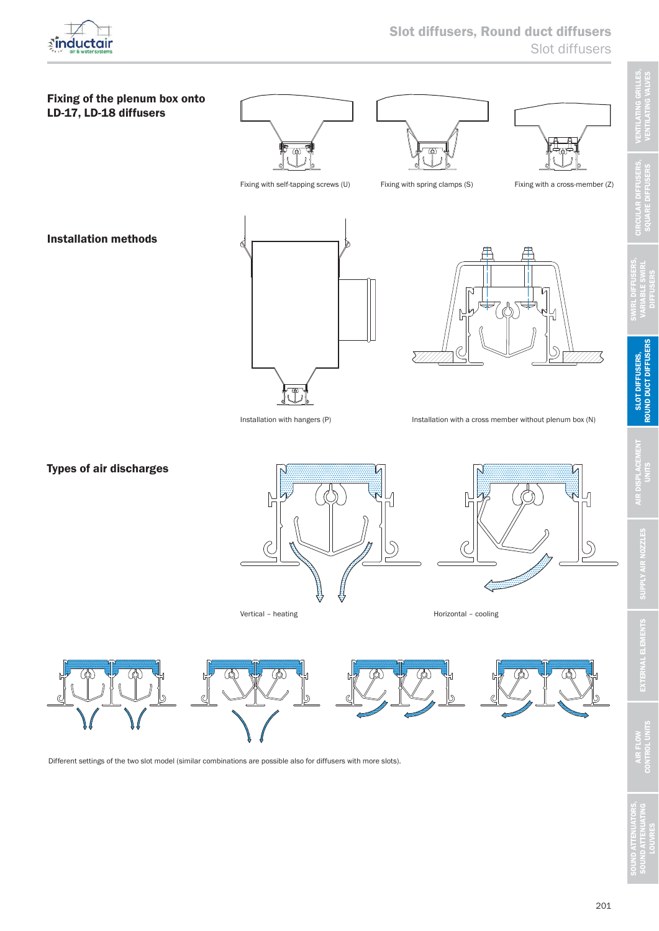



Different settings of the two slot model (similar combinations are possible also for diffusers with more slots).

201

SOUND ATTENUATORS,<br>SOUND ATTENUATING<br>LOUVRES

**DIFFUSERS**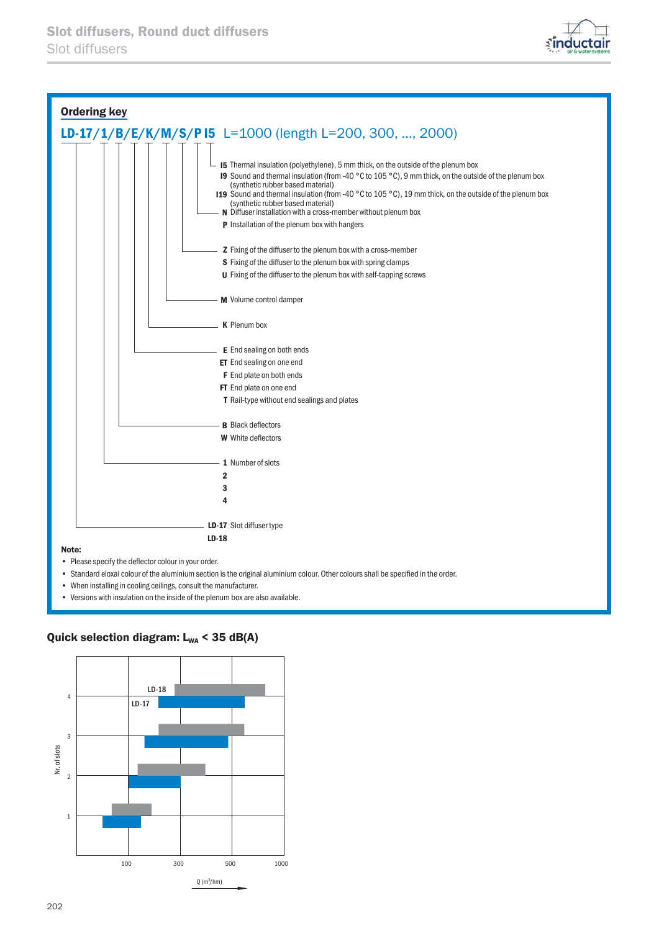



- When installing in cooling ceilings, consult the manufacturer.
- Versions with insulation on the inside of the plenum box are also available.

### Quick selection diagram:  $L_{WA}$  < 35 dB(A)

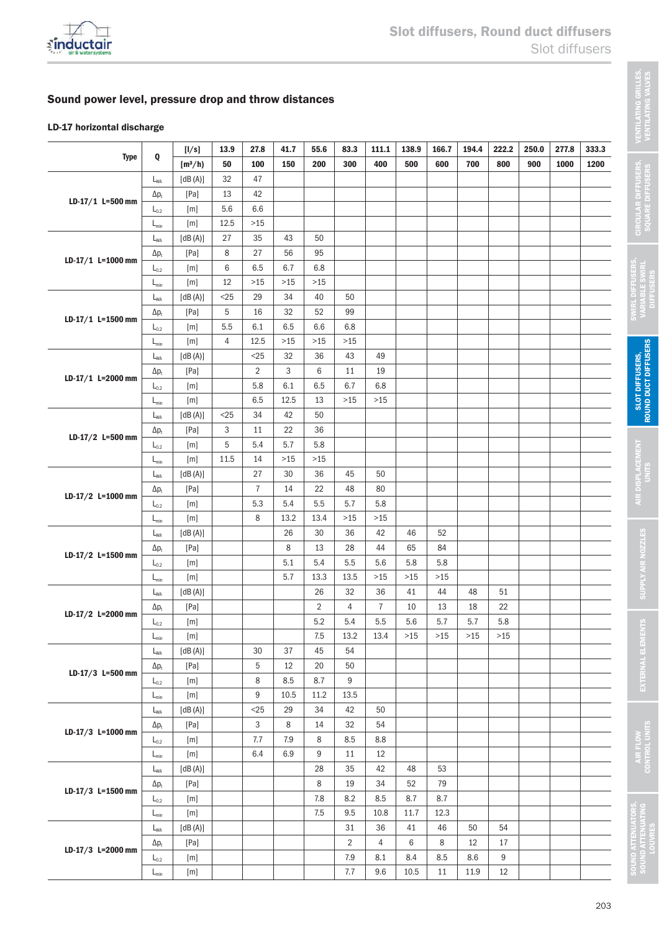

## Sound power level, pressure drop and throw distances

### LD-17 horizontal discharge

|                    |                             | [1/s]          | 13.9   | 27.8           | 41.7  | 55.6           | 83.3           | 111.1          | 138.9 | 166.7 | 194.4 | 222.2 | 250.0 | 277.8 | 333.3 |
|--------------------|-----------------------------|----------------|--------|----------------|-------|----------------|----------------|----------------|-------|-------|-------|-------|-------|-------|-------|
| <b>Type</b>        | Q                           | $[m^3/h]$      | 50     | 100            | 150   | 200            | 300            | 400            | 500   | 600   | 700   | 800   | 900   | 1000  | 1200  |
|                    | $L_{WA}$                    | $[dB(A)]$      | 32     | 47             |       |                |                |                |       |       |       |       |       |       |       |
| $LD-17/1$ L=500 mm | $\Delta p_t$                | [Pa]           | 13     | 42             |       |                |                |                |       |       |       |       |       |       |       |
|                    | $L_{0.2}$                   | [m]            | 5.6    | 6.6            |       |                |                |                |       |       |       |       |       |       |       |
|                    | $L_{\text{min}}$            | [m]            | 12.5   | $>15$          |       |                |                |                |       |       |       |       |       |       |       |
|                    | $L_{WA}$                    | [dB(A)]        | 27     | 35             | 43    | 50             |                |                |       |       |       |       |       |       |       |
| LD-17/1 L=1000 mm  | $\Delta p_t$                | [Pa]           | 8      | 27             | 56    | 95             |                |                |       |       |       |       |       |       |       |
|                    | $L_{0.2}$                   | [m]            | 6      | 6.5            | 6.7   | 6.8            |                |                |       |       |       |       |       |       |       |
|                    | $L_{min}$                   | [m]            | 12     | $>15$          | $>15$ | $>15$          |                |                |       |       |       |       |       |       |       |
|                    | $L_{WA}$                    | [dB(A)]        | $<$ 25 | 29             | 34    | 40             | 50             |                |       |       |       |       |       |       |       |
| LD-17/1 L=1500 mm  | $\Delta p_t$                | [Pa]           | 5      | 16             | 32    | 52             | 99             |                |       |       |       |       |       |       |       |
|                    | $L_{0.2}$                   | [m]            | 5.5    | 6.1            | 6.5   | 6.6            | 6.8            |                |       |       |       |       |       |       |       |
|                    | $L_{\text{min}}$            | [m]            | 4      | 12.5           | $>15$ | $>15$          | $>15$          |                |       |       |       |       |       |       |       |
|                    | $L_{WA}$                    | [dB(A)]        |        | $<$ 25         | 32    | 36             | 43             | 49             |       |       |       |       |       |       |       |
| LD-17/1 L=2000 mm  | $\Delta p_t$                | [Pa]           |        | $\overline{2}$ | 3     | 6              | 11             | 19             |       |       |       |       |       |       |       |
|                    | $L_{0.2}$                   | [m]            |        | 5.8            | 6.1   | 6.5            | 6.7            | 6.8            |       |       |       |       |       |       |       |
|                    | $L_{min}$                   | [m]            |        | 6.5            | 12.5  | 13             | $>15$          | $>15$          |       |       |       |       |       |       |       |
|                    | $L_{WA}$                    | [dB(A)]        | $<$ 25 | 34             | 42    | 50             |                |                |       |       |       |       |       |       |       |
| LD-17/2 L=500 mm   | $\Delta p_t$                | [Pa]           | 3      | 11             | 22    | 36             |                |                |       |       |       |       |       |       |       |
|                    | $L_{0.2}$                   | [m]            | 5      | 5.4            | 5.7   | 5.8            |                |                |       |       |       |       |       |       |       |
|                    | $L_{\text{min}}$            | [m]            | 11.5   | 14             | $>15$ | $>15$          |                |                |       |       |       |       |       |       |       |
|                    | $L_{WA}$                    | [dB(A)]        |        | 27             | 30    | 36             | 45             | 50             |       |       |       |       |       |       |       |
| LD-17/2 L=1000 mm  | $\Delta p_t$                | [Pa]           |        | $\overline{7}$ | 14    | 22             | 48             | 80             |       |       |       |       |       |       |       |
|                    | $L_{0.2}$                   | [m]            |        | 5.3            | 5.4   | 5.5            | 5.7            | 5.8            |       |       |       |       |       |       |       |
|                    | $L_{\text{min}}$            | [m]            |        | 8              | 13.2  | 13.4           | $>15$          | $>15$          |       |       |       |       |       |       |       |
|                    | $L_{WA}$                    | [dB(A)]        |        |                | 26    | 30             | 36             | 42             | 46    | 52    |       |       |       |       |       |
| LD-17/2 L=1500 mm  | $\Delta p_t$                | [Pa]           |        |                | 8     | 13             | 28             | 44             | 65    | 84    |       |       |       |       |       |
|                    | $L_{0.2}$                   | [m]            |        |                | 5.1   | 5.4            | 5.5            | 5.6            | 5.8   | 5.8   |       |       |       |       |       |
|                    | $L_{\text{min}}$            | [m]            |        |                | 5.7   | 13.3           | 13.5           | $>15$          | $>15$ | $>15$ |       |       |       |       |       |
|                    | $L_{WA}$                    | [dB(A)]        |        |                |       | 26             | 32             | 36             | 41    | 44    | 48    | 51    |       |       |       |
| LD-17/2 L=2000 mm  | $\Delta p_t$                | [Pa]           |        |                |       | $\overline{2}$ | 4              | $\overline{7}$ | 10    | 13    | 18    | 22    |       |       |       |
|                    | $L_{0.2}$                   | [m]            |        |                |       | 5.2            | 5.4            | 5.5            | 5.6   | 5.7   | 5.7   | 5.8   |       |       |       |
|                    | $\mathsf{L}_{\mathsf{min}}$ | $[\mathsf{m}]$ |        |                |       | 7.5            | 13.2           | 13.4           | $>15$ | $>15$ | $>15$ | $>15$ |       |       |       |
|                    | $L_{WA}$                    | [dB(A)]        |        | 30             | 37    | 45             | 54             |                |       |       |       |       |       |       |       |
| LD-17/3 L=500 mm   | $\Delta p_t$                | [Pa]           |        | 5              | 12    | 20             | 50             |                |       |       |       |       |       |       |       |
|                    | $\mathsf{L}_{0.2}$          | [m]            |        | 8              | 8.5   | 8.7            | 9              |                |       |       |       |       |       |       |       |
|                    | $L_{\text{min}}$            | [m]            |        | 9              | 10.5  | 11.2           | 13.5           |                |       |       |       |       |       |       |       |
|                    | $L_{WA}$                    | [dB(A)]        |        | $25$           | 29    | 34             | 42             | 50             |       |       |       |       |       |       |       |
| LD-17/3 L=1000 mm  | $\Delta p_{\rm t}$          | [Pa]           |        | 3              | 8     | 14             | 32             | 54             |       |       |       |       |       |       |       |
|                    | $\mathsf{L}_{0.2}$          | [m]            |        | 7.7            | $7.9$ | 8              | 8.5            | 8.8            |       |       |       |       |       |       |       |
|                    | $L_{\text{min}}$            | [m]            |        | 6.4            | 6.9   | 9              | 11             | 12             |       |       |       |       |       |       |       |
|                    | $L_{WA}$                    | [dB(A)]        |        |                |       | 28             | 35             | 42             | 48    | 53    |       |       |       |       |       |
| LD-17/3 L=1500 mm  | $\Delta p_t$                | [Pa]           |        |                |       | 8              | 19             | 34             | 52    | 79    |       |       |       |       |       |
|                    | $\mathsf{L}_{0.2}$          | [m]            |        |                |       | 7.8            | 8.2            | 8.5            | 8.7   | 8.7   |       |       |       |       |       |
|                    | $L_{\text{min}}$            | [m]            |        |                |       | $7.5\,$        | 9.5            | 10.8<br>36     | 11.7  | 12.3  |       | 54    |       |       |       |
|                    | $L_{WA}$                    | [dB(A)]        |        |                |       |                | 31             |                | 41    | 46    | 50    |       |       |       |       |
| LD-17/3 L=2000 mm  | $\Delta p_t$                | [Pa]           |        |                |       |                | $\overline{2}$ | 4              | 6     | 8     | 12    | 17    |       |       |       |
|                    | $\mathsf{L}_{0.2}$          | [m]            |        |                |       |                | 7.9            | 8.1            | 8.4   | 8.5   | 8.6   | 9     |       |       |       |
|                    | $L_{\text{min}}$            | $[\mathsf{m}]$ |        |                |       |                | 7.7            | 9.6            | 10.5  | 11    | 11.9  | 12    |       |       |       |

SOUND ATTENUATORS,<br>SOUND ATTENUATING<br>LOUVRES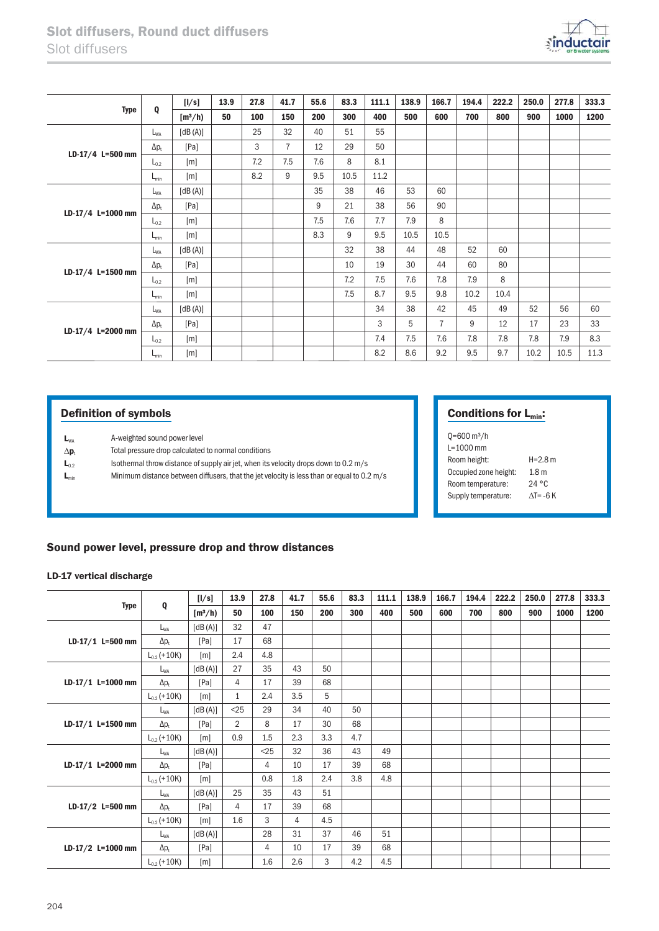

| <b>Type</b>       | Q                | [1/s]     | 13.9 | 27.8 | 41.7           | 55.6 | 83.3 | 111.1 | 138.9 | 166.7          | 194.4 | 222.2 | 250.0 | 277.8 | 333.3 |
|-------------------|------------------|-----------|------|------|----------------|------|------|-------|-------|----------------|-------|-------|-------|-------|-------|
|                   |                  | $[m^3/h)$ | 50   | 100  | 150            | 200  | 300  | 400   | 500   | 600            | 700   | 800   | 900   | 1000  | 1200  |
|                   | $L_{WA}$         | [dB(A)]   |      | 25   | 32             | 40   | 51   | 55    |       |                |       |       |       |       |       |
|                   | $\Delta p_t$     | [Pa]      |      | 3    | $\overline{7}$ | 12   | 29   | 50    |       |                |       |       |       |       |       |
| LD-17/4 L=500 mm  | $L_{0.2}$        | [m]       |      | 7.2  | 7.5            | 7.6  | 8    | 8.1   |       |                |       |       |       |       |       |
|                   | $L_{\text{min}}$ | [m]       |      | 8.2  | 9              | 9.5  | 10.5 | 11.2  |       |                |       |       |       |       |       |
|                   | $L_{WA}$         | [dB(A)]   |      |      |                | 35   | 38   | 46    | 53    | 60             |       |       |       |       |       |
| LD-17/4 L=1000 mm | $\Delta p_t$     | [Pa]      |      |      |                | 9    | 21   | 38    | 56    | 90             |       |       |       |       |       |
|                   | $L_{0.2}$        | [m]       |      |      |                | 7.5  | 7.6  | 7.7   | 7.9   | 8              |       |       |       |       |       |
|                   | $L_{\text{min}}$ | [m]       |      |      |                | 8.3  | 9    | 9.5   | 10.5  | 10.5           |       |       |       |       |       |
|                   | $L_{WA}$         | [dB(A)]   |      |      |                |      | 32   | 38    | 44    | 48             | 52    | 60    |       |       |       |
| LD-17/4 L=1500 mm | $\Delta p_t$     | [Pa]      |      |      |                |      | 10   | 19    | 30    | 44             | 60    | 80    |       |       |       |
|                   | $L_{0.2}$        | [m]       |      |      |                |      | 7.2  | 7.5   | 7.6   | 7.8            | 7.9   | 8     |       |       |       |
|                   | $L_{\text{min}}$ | [m]       |      |      |                |      | 7.5  | 8.7   | 9.5   | 9.8            | 10.2  | 10.4  |       |       |       |
|                   | $L_{WA}$         | [dB(A)]   |      |      |                |      |      | 34    | 38    | 42             | 45    | 49    | 52    | 56    | 60    |
| LD-17/4 L=2000 mm | $\Delta p_t$     | [Pa]      |      |      |                |      |      | 3     | 5     | $\overline{7}$ | 9     | 12    | 17    | 23    | 33    |
|                   | $L_{0.2}$        | [m]       |      |      |                |      |      | 7.4   | 7.5   | 7.6            | 7.8   | 7.8   | 7.8   | 7.9   | 8.3   |
|                   | $L_{\text{min}}$ | [m]       |      |      |                |      |      | 8.2   | 8.6   | 9.2            | 9.5   | 9.7   | 10.2  | 10.5  | 11.3  |

# Definition of symbols

| $L_{WA}$ | A-weighted sound power level |
|----------|------------------------------|
|----------|------------------------------|

- $\Delta \mathbf{p}_t$  Total pressure drop calculated to normal conditions
- $L_{0.2}$  Isothermal throw distance of supply air jet, when its velocity drops down to 0.2 m/s
- $L_{min}$  Minimum distance between diffusers, that the jet velocity is less than or equal to 0.2 m/s

# Conditions for L<sub>min</sub>:

| $Q = 600$ m <sup>3</sup> /h |                   |
|-----------------------------|-------------------|
| $L = 1000$ mm               |                   |
| Room height:                | $H = 2.8$ m       |
| Occupied zone height:       | 1.8 <sub>m</sub>  |
| Room temperature:           | 24 °C             |
| Supply temperature:         | $\Lambda$ T= -6 K |

### Sound power level, pressure drop and throw distances

#### LD-17 vertical discharge

| <b>Type</b>         |                  | [1/s]     | 13.9           | 27.8   | 41.7 | 55.6 | 83.3 | 111.1 | 138.9 | 166.7 | 194.4 | 222.2 | 250.0 | 277.8 | 333.3 |
|---------------------|------------------|-----------|----------------|--------|------|------|------|-------|-------|-------|-------|-------|-------|-------|-------|
|                     | Q                | $[m^3/h]$ | 50             | 100    | 150  | 200  | 300  | 400   | 500   | 600   | 700   | 800   | 900   | 1000  | 1200  |
|                     | $L_{WA}$         | [dB(A)]   | 32             | 47     |      |      |      |       |       |       |       |       |       |       |       |
| $LD-17/1$ L=500 mm  | $\Delta p_t$     | [Pa]      | 17             | 68     |      |      |      |       |       |       |       |       |       |       |       |
|                     | $L_{0.2}$ (+10K) | [m]       | 2.4            | 4.8    |      |      |      |       |       |       |       |       |       |       |       |
|                     | $L_{WA}$         | [dB(A)]   | 27             | 35     | 43   | 50   |      |       |       |       |       |       |       |       |       |
| $LD-17/1$ L=1000 mm | $\Delta p_t$     | [Pa]      | 4              | 17     | 39   | 68   |      |       |       |       |       |       |       |       |       |
|                     | $L_{0.2}$ (+10K) | [m]       | $\mathbf{1}$   | 2.4    | 3.5  | 5    |      |       |       |       |       |       |       |       |       |
|                     | $L_{WA}$         | [dB(A)]   | $<$ 25         | 29     | 34   | 40   | 50   |       |       |       |       |       |       |       |       |
| $LD-17/1$ L=1500 mm | $\Delta p_t$     | [Pa]      | $\overline{2}$ | 8      | 17   | 30   | 68   |       |       |       |       |       |       |       |       |
|                     | $L_{0.2}$ (+10K) | [m]       | 0.9            | 1.5    | 2.3  | 3.3  | 4.7  |       |       |       |       |       |       |       |       |
|                     | $L_{WA}$         | [dB(A)]   |                | $<$ 25 | 32   | 36   | 43   | 49    |       |       |       |       |       |       |       |
| $LD-17/1$ L=2000 mm | $\Delta p_t$     | [Pa]      |                | 4      | 10   | 17   | 39   | 68    |       |       |       |       |       |       |       |
|                     | $L_{0.2}$ (+10K) | [m]       |                | 0.8    | 1.8  | 2.4  | 3.8  | 4.8   |       |       |       |       |       |       |       |
|                     | $L_{WA}$         | [dB(A)]   | 25             | 35     | 43   | 51   |      |       |       |       |       |       |       |       |       |
| LD-17/2 L=500 mm    | $\Delta p_t$     | [Pa]      | 4              | 17     | 39   | 68   |      |       |       |       |       |       |       |       |       |
|                     | $L_{0.2}$ (+10K) | [m]       | 1.6            | 3      | 4    | 4.5  |      |       |       |       |       |       |       |       |       |
|                     | $L_{WA}$         | [dB(A)]   |                | 28     | 31   | 37   | 46   | 51    |       |       |       |       |       |       |       |
| LD-17/2 L=1000 mm   | $\Delta p_t$     | [Pa]      |                | 4      | 10   | 17   | 39   | 68    |       |       |       |       |       |       |       |
|                     | $L_{0.2}$ (+10K) | [m]       |                | 1.6    | 2.6  | 3    | 4.2  | 4.5   |       |       |       |       |       |       |       |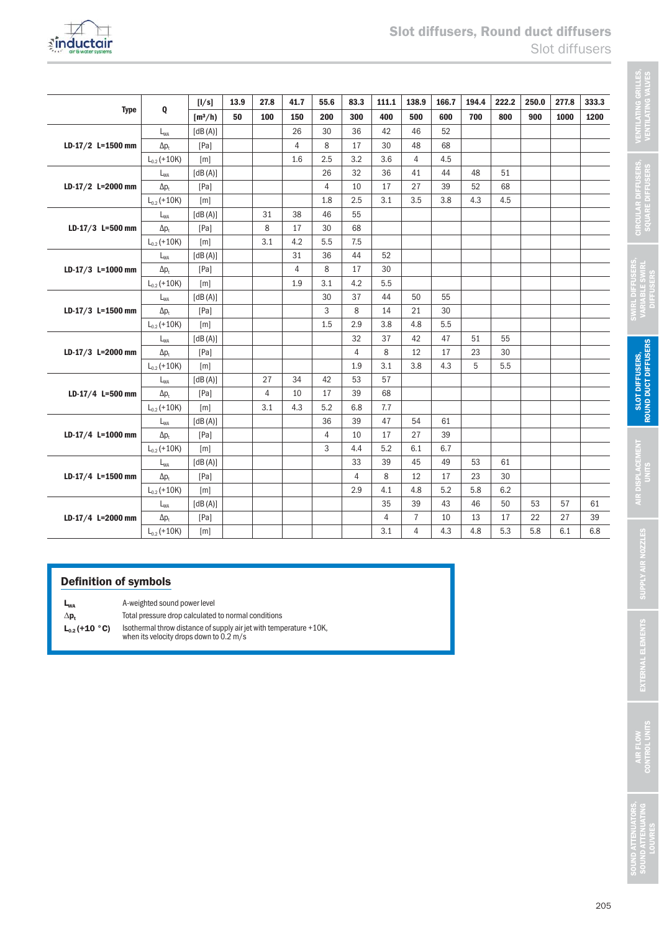

|                   |                  | [1/s]     | 13.9 | 27.8           | 41.7           | 55.6           | 83.3           | 111.1          | 138.9          | 166.7 | 194.4 | 222.2 | 250.0 | 277.8 | 333.3 |
|-------------------|------------------|-----------|------|----------------|----------------|----------------|----------------|----------------|----------------|-------|-------|-------|-------|-------|-------|
| <b>Type</b>       | Q                | $[m^3/h]$ | 50   | 100            | 150            | 200            | 300            | 400            | 500            | 600   | 700   | 800   | 900   | 1000  | 1200  |
|                   | $L_{WA}$         | [dB(A)]   |      |                | 26             | 30             | 36             | 42             | 46             | 52    |       |       |       |       |       |
| LD-17/2 L=1500 mm | $\Delta p_t$     | [Pa]      |      |                | $\overline{4}$ | 8              | 17             | 30             | 48             | 68    |       |       |       |       |       |
|                   | $L_{0.2}$ (+10K) | [m]       |      |                | 1.6            | 2.5            | 3.2            | 3.6            | $\overline{4}$ | 4.5   |       |       |       |       |       |
|                   | $L_{WA}$         | [dB(A)]   |      |                |                | 26             | 32             | 36             | 41             | 44    | 48    | 51    |       |       |       |
| LD-17/2 L=2000 mm | $\Delta p_t$     | [Pa]      |      |                |                | $\overline{4}$ | 10             | 17             | 27             | 39    | 52    | 68    |       |       |       |
|                   | $L_{0.2}$ (+10K) | [m]       |      |                |                | 1.8            | 2.5            | 3.1            | 3.5            | 3.8   | 4.3   | 4.5   |       |       |       |
|                   | $L_{WA}$         | [dB(A)]   |      | 31             | 38             | 46             | 55             |                |                |       |       |       |       |       |       |
| LD-17/3 L=500 mm  | $\Delta p_t$     | [Pa]      |      | 8              | 17             | 30             | 68             |                |                |       |       |       |       |       |       |
|                   | $L_{0.2}$ (+10K) | [m]       |      | 3.1            | 4.2            | 5.5            | 7.5            |                |                |       |       |       |       |       |       |
|                   | $L_{WA}$         | [dB(A)]   |      |                | 31             | 36             | 44             | 52             |                |       |       |       |       |       |       |
| LD-17/3 L=1000 mm | $\Delta p_t$     | [Pa]      |      |                | 4              | 8              | 17             | 30             |                |       |       |       |       |       |       |
|                   | $L_{0.2}$ (+10K) | [m]       |      |                | 1.9            | 3.1            | 4.2            | 5.5            |                |       |       |       |       |       |       |
|                   | $L_{WA}$         | [dB(A)]   |      |                |                | 30             | 37             | 44             | 50             | 55    |       |       |       |       |       |
| LD-17/3 L=1500 mm | $\Delta p_t$     | [Pa]      |      |                |                | 3              | 8              | 14             | 21             | 30    |       |       |       |       |       |
|                   | $L_{0.2}$ (+10K) | [m]       |      |                |                | 1.5            | 2.9            | 3.8            | 4.8            | 5.5   |       |       |       |       |       |
|                   | $L_{WA}$         | [dB(A)]   |      |                |                |                | 32             | 37             | 42             | 47    | 51    | 55    |       |       |       |
| LD-17/3 L=2000 mm | $\Delta p_t$     | [Pa]      |      |                |                |                | $\overline{4}$ | 8              | 12             | 17    | 23    | 30    |       |       |       |
|                   | $L_{0.2}$ (+10K) | [m]       |      |                |                |                | 1.9            | 3.1            | 3.8            | 4.3   | 5     | 5.5   |       |       |       |
|                   | $L_{WA}$         | [dB(A)]   |      | 27             | 34             | 42             | 53             | 57             |                |       |       |       |       |       |       |
| LD-17/4 L=500 mm  | $\Delta p_t$     | [Pa]      |      | $\overline{4}$ | 10             | 17             | 39             | 68             |                |       |       |       |       |       |       |
|                   | $L_{0.2}$ (+10K) | [m]       |      | 3.1            | 4.3            | 5.2            | 6.8            | 7.7            |                |       |       |       |       |       |       |
|                   | $L_{WA}$         | [dB(A)]   |      |                |                | 36             | 39             | 47             | 54             | 61    |       |       |       |       |       |
| LD-17/4 L=1000 mm | $\Delta p_{t}$   | [Pa]      |      |                |                | $\overline{4}$ | 10             | 17             | 27             | 39    |       |       |       |       |       |
|                   | $L_{0.2}$ (+10K) | [m]       |      |                |                | 3              | 4.4            | 5.2            | 6.1            | 6.7   |       |       |       |       |       |
|                   | $L_{WA}$         | [dB(A)]   |      |                |                |                | 33             | 39             | 45             | 49    | 53    | 61    |       |       |       |
| LD-17/4 L=1500 mm | $\Delta p_t$     | [Pa]      |      |                |                |                | 4              | 8              | 12             | 17    | 23    | 30    |       |       |       |
|                   | $L_{0.2}$ (+10K) | [m]       |      |                |                |                | 2.9            | 4.1            | 4.8            | 5.2   | 5.8   | 6.2   |       |       |       |
|                   | $L_{WA}$         | [dB(A)]   |      |                |                |                |                | 35             | 39             | 43    | 46    | 50    | 53    | 57    | 61    |
| LD-17/4 L=2000 mm | $\Delta p_t$     | [Pa]      |      |                |                |                |                | $\overline{4}$ | $\overline{7}$ | 10    | 13    | 17    | 22    | 27    | 39    |
|                   | $L_{0.2}$ (+10K) | [m]       |      |                |                |                |                | 3.1            | 4              | 4.3   | 4.8   | 5.3   | 5.8   | 6.1   | 6.8   |

# Definition of symbols

L<sub>wa</sub> A-weighted sound power level

- 
- $\Delta p_t$  Total pressure drop calculated to normal conditions<br>  $L_{0.2}$  (+10 °C) Isothermal throw distance of supply air jet with temp  $L_{0.2}$  (+10 °C) Isothermal throw distance of supply air jet with temperature +10K, when its velocity drops down to 0.2 m/s

VENTILATING GRILLES, VENTILATING VALVES

**VENTILATING GRILLES<br>VENTILATING VALVES** 

CIRCULAR DIFFUSERS, SQUARE DIFFUSERS

CIRCULAR DIFFUSERS,<br>SQUARE DIFFUSERS

SWIRL DIFFUSERS, VARIABLE SWIRL **DIFFUSERS** 

SWIRL DIFFUSERS,<br>VARIABLE SWIRL<br>DIFFUSERS

SLOT DIFFUSERS, ROUND DUCT DIFFUSERS

**SLOT DIFFUSERS,<br>ROUND DUCT DIFFUSERS** 

AIR DISPLACEMENT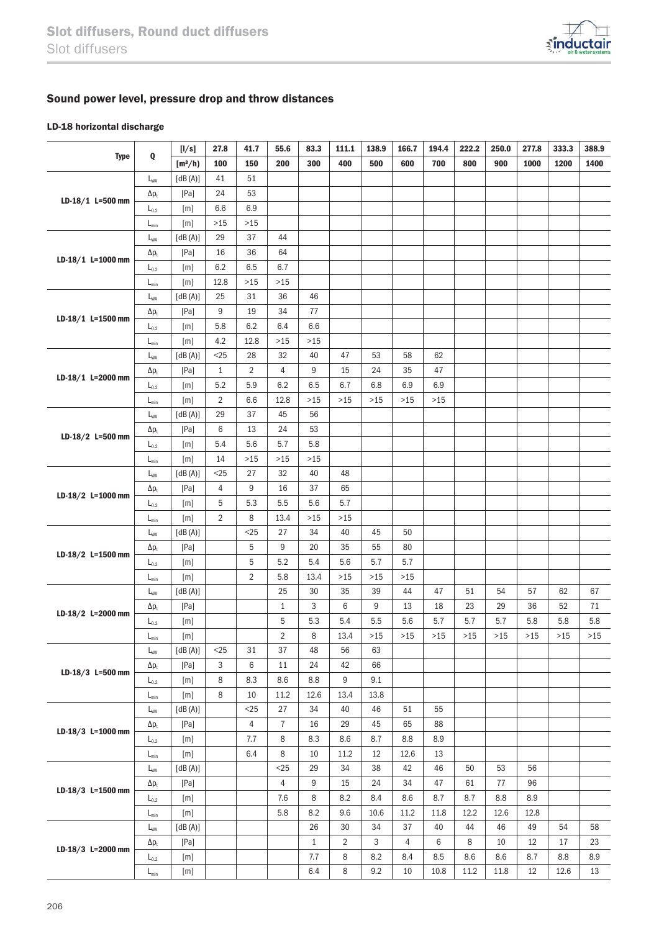

# Sound power level, pressure drop and throw distances

### LD-18 horizontal discharge

|                   |                             | [1/s]          | 27.8           | 41.7           | 55.6                    | 83.3         | 111.1          | 138.9          | 166.7          | 194.4   | 222.2 | 250.0  | 277.8 | 333.3  | 388.9 |
|-------------------|-----------------------------|----------------|----------------|----------------|-------------------------|--------------|----------------|----------------|----------------|---------|-------|--------|-------|--------|-------|
| <b>Type</b>       | Q                           | $[m^3/h]$      | 100            | 150            | 200                     | 300          | 400            | 500            | 600            | 700     | 800   | 900    | 1000  | 1200   | 1400  |
|                   | $L_{WA}$                    | [dB(A)]        | 41             | 51             |                         |              |                |                |                |         |       |        |       |        |       |
|                   | $\Delta p_t$                | [Pa]           | 24             | 53             |                         |              |                |                |                |         |       |        |       |        |       |
| LD-18/1 L=500 mm  | $L_{0.2}$                   | [m]            | 6.6            | 6.9            |                         |              |                |                |                |         |       |        |       |        |       |
|                   | $L_{\text{min}}$            | [m]            | $>15$          | $>15$          |                         |              |                |                |                |         |       |        |       |        |       |
|                   | $L_{WA}$                    | [dB(A)]        | 29             | 37             | 44                      |              |                |                |                |         |       |        |       |        |       |
|                   | $\Delta p_t$                | [Pa]           | 16             | 36             | 64                      |              |                |                |                |         |       |        |       |        |       |
| LD-18/1 L=1000 mm | $L_{0.2}$                   | [m]            | 6.2            | 6.5            | 6.7                     |              |                |                |                |         |       |        |       |        |       |
|                   | $L_{\text{min}}$            | [m]            | 12.8           | $>15$          | $>15$                   |              |                |                |                |         |       |        |       |        |       |
|                   | L <sub>WA</sub>             | [dB(A)]        | 25             | 31             | 36                      | 46           |                |                |                |         |       |        |       |        |       |
|                   | $\Delta p_t$                | [Pa]           | 9              | 19             | 34                      | 77           |                |                |                |         |       |        |       |        |       |
| LD-18/1 L=1500 mm | $L_{0.2}$                   | [m]            | 5.8            | 6.2            | 6.4                     | 6.6          |                |                |                |         |       |        |       |        |       |
|                   | $L_{\text{min}}$            | [m]            | 4.2            | 12.8           | $>15$                   | $>15$        |                |                |                |         |       |        |       |        |       |
|                   | $L_{WA}$                    | [dB(A)]        | 25             | 28             | 32                      | 40           | 47             | 53             | 58             | 62      |       |        |       |        |       |
|                   | $\Delta p_t$                | [Pa]           | $\mathbf{1}$   | $\overline{2}$ | 4                       | 9            | 15             | 24             | 35             | 47      |       |        |       |        |       |
| LD-18/1 L=2000 mm | $L_{0.2}$                   | [m]            | 5.2            | 5.9            | 6.2                     | 6.5          | 6.7            | 6.8            | 6.9            | 6.9     |       |        |       |        |       |
|                   | $L_{\text{min}}$            | [m]            | $\overline{2}$ | 6.6            | 12.8                    | $>15$        | $>15$          | $>15$          | $>15$          | $>15$   |       |        |       |        |       |
|                   | $L_{WA}$                    | [dB(A)]        | 29             | 37             | 45                      | 56           |                |                |                |         |       |        |       |        |       |
|                   | $\Delta p_t$                | [Pa]           | 6              | 13             | 24                      | 53           |                |                |                |         |       |        |       |        |       |
| LD-18/2 L=500 mm  | $L_{0.2}$                   | [m]            | 5.4            | 5.6            | 5.7                     | 5.8          |                |                |                |         |       |        |       |        |       |
|                   | $\mathsf{L}_{\mathsf{min}}$ | [m]            | 14             | $>15$          | $>15$                   | $>15$        |                |                |                |         |       |        |       |        |       |
|                   | $L_{WA}$                    | [dB(A)]        | $<$ 25         | 27             | 32                      | 40           | 48             |                |                |         |       |        |       |        |       |
|                   | $\Delta p_t$                | [Pa]           | 4              | 9              | 16                      | 37           | 65             |                |                |         |       |        |       |        |       |
| LD-18/2 L=1000 mm | $L_{0.2}$                   | [m]            | 5              | 5.3            | 5.5                     | 5.6          | 5.7            |                |                |         |       |        |       |        |       |
|                   | $L_{\text{min}}$            | [m]            | $\overline{2}$ | 8              | 13.4                    | $>15$        | >15            |                |                |         |       |        |       |        |       |
|                   | $L_{WA}$                    | [dB(A)]        |                | $<$ 25         | 27                      | 34           | 40             | 45             | 50             |         |       |        |       |        |       |
|                   | $\Delta p_{t}$              | [Pa]           |                | 5              | 9                       | 20           | 35             | 55             | 80             |         |       |        |       |        |       |
| LD-18/2 L=1500 mm | $L_{0.2}$                   | [m]            |                | 5              | 5.2                     | 5.4          | 5.6            | 5.7            | 5.7            |         |       |        |       |        |       |
|                   | $L_{\text{min}}$            | [m]            |                | $\overline{2}$ | 5.8                     | 13.4         | >15            | $>15$          | $>15$          |         |       |        |       |        |       |
|                   | $L_{WA}$                    | [dB(A)]        |                |                | 25                      | 30           | 35             | 39             | 44             | 47      | 51    | 54     | 57    | 62     | 67    |
|                   | $\Delta p_t$                | [Pa]           |                |                | $\mathbf{1}$            | 3            | 6              | 9              | 13             | 18      | 23    | 29     | 36    | 52     | 71    |
| LD-18/2 L=2000 mm | $L_{0.2}$                   | [m]            |                |                | 5                       | 5.3          | 5.4            | 5.5            | 5.6            | 5.7     | 5.7   | 5.7    | 5.8   | 5.8    | 5.8   |
|                   | $L_{\text{min}}$            | $[\mathsf{m}]$ |                |                | $\overline{\mathbf{c}}$ | 8            | 13.4           | $>15\,$        | $>15$          | $>15$   | $>15$ | $>15$  | $>15$ | $>15$  | $>15$ |
|                   | $L_{WA}$                    | [dB(A)]        | $<$ 25         | 31             | 37                      | 48           | 56             | 63             |                |         |       |        |       |        |       |
|                   | $\Delta p_{t}$              | [Pa]           | 3              | 6              | $11\,$                  | 24           | 42             | 66             |                |         |       |        |       |        |       |
| LD-18/3 L=500 mm  | $\mathsf{L}_{0.2}$          | [m]            | 8              | 8.3            | $8.6\,$                 | 8.8          | 9              | 9.1            |                |         |       |        |       |        |       |
|                   | $L_{\text{min}}$            | [m]            | 8              | $10\,$         | $11.2\,$                | 12.6         | 13.4           | 13.8           |                |         |       |        |       |        |       |
|                   | $L_{WA}$                    | [dB(A)]        |                | $<25$          | 27                      | 34           | 40             | 46             | 51             | 55      |       |        |       |        |       |
|                   | $\Delta p_t$                | [Pa]           |                | $\overline{4}$ | $\overline{7}$          | 16           | 29             | 45             | 65             | 88      |       |        |       |        |       |
| LD-18/3 L=1000 mm | $L_{0.2}$                   | [m]            |                | 7.7            | 8                       | 8.3          | $8.6\,$        | 8.7            | 8.8            | $\,8.9$ |       |        |       |        |       |
|                   | $\mathsf{L}_{\mathsf{min}}$ | [m]            |                | 6.4            | 8                       | 10           | 11.2           | 12             | 12.6           | 13      |       |        |       |        |       |
|                   | $L_{\textrm{WA}}$           | [dB(A)]        |                |                | $25$                    | 29           | 34             | 38             | 42             | 46      | 50    | 53     | 56    |        |       |
|                   | $\Delta p_t$                | [Pa]           |                |                | $\overline{4}$          | 9            | 15             | 24             | 34             | 47      | 61    | 77     | 96    |        |       |
| LD-18/3 L=1500 mm | $L_{0.2}$                   | $[{\sf m}]$    |                |                | 7.6                     | 8            | 8.2            | 8.4            | 8.6            | 8.7     | 8.7   | 8.8    | 8.9   |        |       |
|                   | $\mathsf{L}_{\mathsf{min}}$ | [m]            |                |                | 5.8                     | 8.2          | 9.6            | 10.6           | 11.2           | 11.8    | 12.2  | 12.6   | 12.8  |        |       |
|                   | $L_{WA}$                    | [dB(A)]        |                |                |                         | 26           | 30             | 34             | 37             | 40      | 44    | 46     | 49    | 54     | 58    |
|                   | $\Delta p_{\rm t}$          | [Pa]           |                |                |                         | $\mathbf{1}$ | $\overline{2}$ | $\mathfrak{S}$ | $\overline{4}$ | 6       | 8     | $10\,$ | 12    | $17\,$ | 23    |
| LD-18/3 L=2000 mm | $L_{0.2}$                   | $[\mathsf{m}]$ |                |                |                         | 7.7          | 8              | 8.2            | 8.4            | 8.5     | 8.6   | 8.6    | 8.7   | 8.8    | 8.9   |
|                   | $L_{\text{min}}$            | $[\mathsf{m}]$ |                |                |                         | $6.4\,$      | 8              | 9.2            | $10\,$         | 10.8    | 11.2  | 11.8   | 12    | 12.6   | 13    |
|                   |                             |                |                |                |                         |              |                |                |                |         |       |        |       |        |       |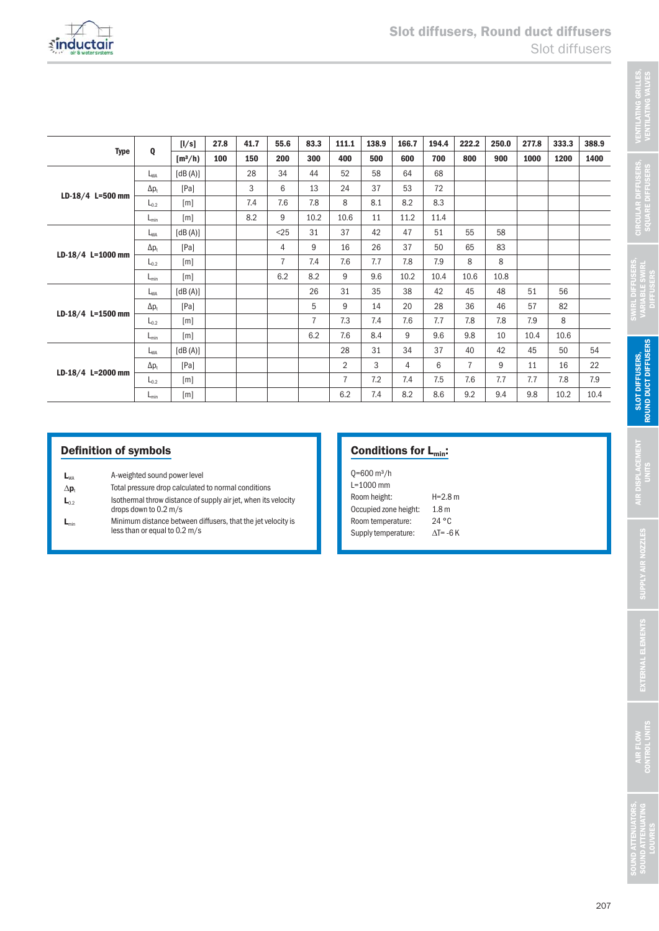| <b>Type</b>       |                  | [1/s]     | 27.8 | 41.7 | 55.6           | 83.3           | 111.1          | 138.9 | 166.7          | 194.4 | 222.2          | 250.0 | 277.8 | 333.3 | 388.9 |
|-------------------|------------------|-----------|------|------|----------------|----------------|----------------|-------|----------------|-------|----------------|-------|-------|-------|-------|
|                   | Q                | $[m^3/h]$ | 100  | 150  | 200            | 300            | 400            | 500   | 600            | 700   | 800            | 900   | 1000  | 1200  | 1400  |
|                   | L <sub>WA</sub>  | [dB(A)]   |      | 28   | 34             | 44             | 52             | 58    | 64             | 68    |                |       |       |       |       |
|                   | $\Delta p_t$     | [Pa]      |      | 3    | 6              | 13             | 24             | 37    | 53             | 72    |                |       |       |       |       |
| LD-18/4 L=500 mm  | $L_{0.2}$        | [m]       |      | 7.4  | 7.6            | 7.8            | 8              | 8.1   | 8.2            | 8.3   |                |       |       |       |       |
|                   | $L_{\text{min}}$ | [m]       |      | 8.2  | 9              | 10.2           | 10.6           | 11    | 11.2           | 11.4  |                |       |       |       |       |
|                   | $L_{WA}$         | [dB(A)]   |      |      | $25$           | 31             | 37             | 42    | 47             | 51    | 55             | 58    |       |       |       |
|                   | $\Delta p_t$     | [Pa]      |      |      | $\overline{4}$ | 9              | 16             | 26    | 37             | 50    | 65             | 83    |       |       |       |
| LD-18/4 L=1000 mm | $L_{0.2}$        | [m]       |      |      | $\overline{7}$ | 7.4            | 7.6            | 7.7   | 7.8            | 7.9   | 8              | 8     |       |       |       |
|                   | $L_{min}$        | [m]       |      |      | 6.2            | 8.2            | 9              | 9.6   | 10.2           | 10.4  | 10.6           | 10.8  |       |       |       |
|                   | $L_{WA}$         | [dB(A)]   |      |      |                | 26             | 31             | 35    | 38             | 42    | 45             | 48    | 51    | 56    |       |
|                   | $\Delta p_t$     | [Pa]      |      |      |                | 5              | 9              | 14    | 20             | 28    | 36             | 46    | 57    | 82    |       |
| LD-18/4 L=1500 mm | $L_{0.2}$        | [m]       |      |      |                | $\overline{7}$ | 7.3            | 7.4   | 7.6            | 7.7   | 7.8            | 7.8   | 7.9   | 8     |       |
|                   | $L_{\text{min}}$ | [m]       |      |      |                | 6.2            | 7.6            | 8.4   | 9              | 9.6   | 9.8            | 10    | 10.4  | 10.6  |       |
|                   | $L_{WA}$         | [dB(A)]   |      |      |                |                | 28             | 31    | 34             | 37    | 40             | 42    | 45    | 50    | 54    |
| LD-18/4 L=2000 mm | $\Delta p_t$     | [Pa]      |      |      |                |                | $\overline{2}$ | 3     | $\overline{4}$ | 6     | $\overline{7}$ | 9     | 11    | 16    | 22    |
|                   | $L_{0.2}$        | [m]       |      |      |                |                | $\overline{7}$ | 7.2   | 7.4            | 7.5   | 7.6            | 7.7   | 7.7   | 7.8   | 7.9   |
|                   | $L_{min}$        | [m]       |      |      |                |                | 6.2            | 7.4   | 8.2            | 8.6   | 9.2            | 9.4   | 9.8   | 10.2  | 10.4  |

## Definition of symbols

- $L_{WA}$  A-weighted sound power level
- $\Delta p_t$  Total pressure drop calculated to normal conditions
- $L_{0.2}$  Isothermal throw distance of supply air jet, when its velocity
- drops down to 0.2 m/s
- $L_{min}$  Minimum distance between diffusers, that the jet velocity is less than or equal to 0.2 m/s

# Conditions for L<sub>min</sub>:

| $Q = 600 \text{ m}^3/h$ |                  |
|-------------------------|------------------|
| $L = 1000$ mm           |                  |
| Room height:            | $H = 2.8 m$      |
| Occupied zone height:   | 1.8 <sub>m</sub> |
| Room temperature:       | 24 °C            |
| Supply temperature:     | AT= -6 K         |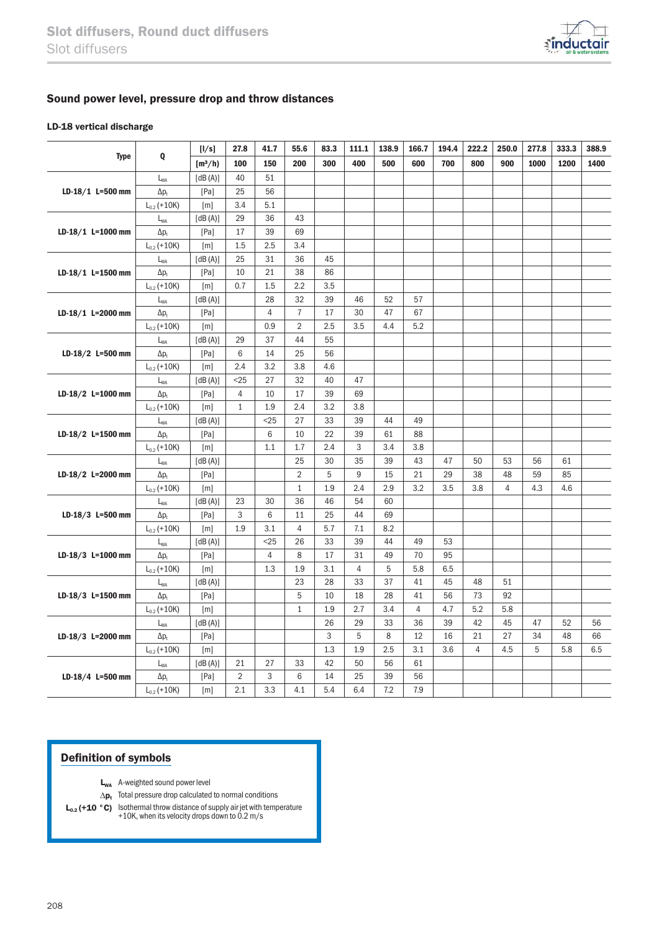

### Sound power level, pressure drop and throw distances

#### LD-18 vertical discharge

|                     | Q                | [I/s]     | 27.8           | 41.7           | 55.6           | 83.3 | 111.1          | 138.9 | 166.7          | 194.4 | 222.2          | 250.0          | 277.8 | 333.3 | 388.9 |
|---------------------|------------------|-----------|----------------|----------------|----------------|------|----------------|-------|----------------|-------|----------------|----------------|-------|-------|-------|
| <b>Type</b>         |                  | $[m^3/h]$ | 100            | 150            | 200            | 300  | 400            | 500   | 600            | 700   | 800            | 900            | 1000  | 1200  | 1400  |
|                     | $L_{WA}$         | [dB(A)]   | 40             | 51             |                |      |                |       |                |       |                |                |       |       |       |
| LD-18/1 L=500 mm    | $\Delta p_t$     | [Pa]      | 25             | 56             |                |      |                |       |                |       |                |                |       |       |       |
|                     | $L_{0.2}$ (+10K) | [m]       | 3.4            | 5.1            |                |      |                |       |                |       |                |                |       |       |       |
|                     | $L_{WA}$         | [dB(A)]   | 29             | 36             | 43             |      |                |       |                |       |                |                |       |       |       |
| $LD-18/1$ L=1000 mm | $\Delta p_t$     | [Pa]      | 17             | 39             | 69             |      |                |       |                |       |                |                |       |       |       |
|                     | $L_{0.2}$ (+10K) | [m]       | 1.5            | 2.5            | 3.4            |      |                |       |                |       |                |                |       |       |       |
|                     | $L_{WA}$         | $[dB(A)]$ | 25             | 31             | 36             | 45   |                |       |                |       |                |                |       |       |       |
| LD-18/1 L=1500 mm   | $\Delta p_t$     | [Pa]      | 10             | 21             | 38             | 86   |                |       |                |       |                |                |       |       |       |
|                     | $L_{0.2}$ (+10K) | [m]       | 0.7            | 1.5            | 2.2            | 3.5  |                |       |                |       |                |                |       |       |       |
|                     | $L_{WA}$         | [dB(A)]   |                | 28             | 32             | 39   | 46             | 52    | 57             |       |                |                |       |       |       |
| LD-18/1 L=2000 mm   | $\Delta p_t$     | [Pa]      |                | $\overline{4}$ | $\overline{7}$ | 17   | 30             | 47    | 67             |       |                |                |       |       |       |
|                     | $L_{0.2}$ (+10K) | [m]       |                | 0.9            | $\overline{2}$ | 2.5  | 3.5            | 4.4   | 5.2            |       |                |                |       |       |       |
|                     | $L_{WA}$         | [dB(A)]   | 29             | 37             | 44             | 55   |                |       |                |       |                |                |       |       |       |
| LD-18/2 L=500 mm    | $\Delta p_t$     | [Pa]      | 6              | 14             | 25             | 56   |                |       |                |       |                |                |       |       |       |
|                     | $L_{0.2}$ (+10K) | [m]       | 2.4            | 3.2            | 3.8            | 4.6  |                |       |                |       |                |                |       |       |       |
| $LD-18/2$ L=1000 mm | $L_{WA}$         | [dB(A)]   | $<$ 25         | 27             | 32             | 40   | 47             |       |                |       |                |                |       |       |       |
|                     | $\Delta p_t$     | [Pa]      | 4              | 10             | 17             | 39   | 69             |       |                |       |                |                |       |       |       |
|                     | $L_{0.2}$ (+10K) | [m]       | $\mathbf{1}$   | 1.9            | 2.4            | 3.2  | 3.8            |       |                |       |                |                |       |       |       |
|                     | $L_{WA}$         | [dB(A)]   |                | $25$           | 27             | 33   | 39             | 44    | 49             |       |                |                |       |       |       |
| LD-18/2 L=1500 mm   | $\Delta p_t$     | [Pa]      |                | 6              | 10             | 22   | 39             | 61    | 88             |       |                |                |       |       |       |
|                     | $L_{0.2}$ (+10K) | [m]       |                | 1.1            | 1.7            | 2.4  | 3              | 3.4   | 3.8            |       |                |                |       |       |       |
|                     | $L_{WA}$         | [dB(A)]   |                |                | 25             | 30   | 35             | 39    | 43             | 47    | 50             | 53             | 56    | 61    |       |
| LD-18/2 L=2000 mm   | $\Delta p_t$     | [Pa]      |                |                | $\overline{2}$ | 5    | 9              | 15    | 21             | 29    | 38             | 48             | 59    | 85    |       |
|                     | $L_{0.2}$ (+10K) | [m]       |                |                | $\mathbf{1}$   | 1.9  | 2.4            | 2.9   | 3.2            | 3.5   | 3.8            | $\overline{4}$ | 4.3   | 4.6   |       |
|                     | $L_{WA}$         | [dB(A)]   | 23             | 30             | 36             | 46   | 54             | 60    |                |       |                |                |       |       |       |
| LD-18/3 L=500 mm    | $\Delta p_t$     | [Pa]      | 3              | 6              | 11             | 25   | 44             | 69    |                |       |                |                |       |       |       |
|                     | $L_{0.2}$ (+10K) | [m]       | 1.9            | 3.1            | $\overline{4}$ | 5.7  | 7.1            | 8.2   |                |       |                |                |       |       |       |
|                     | $L_{WA}$         | [dB(A)]   |                | $<$ 25         | 26             | 33   | 39             | 44    | 49             | 53    |                |                |       |       |       |
| LD-18/3 L=1000 mm   | $\Delta p_t$     | [Pa]      |                | $\overline{4}$ | 8              | 17   | 31             | 49    | 70             | 95    |                |                |       |       |       |
|                     | $L_{0.2}$ (+10K) | [m]       |                | 1.3            | 1.9            | 3.1  | $\overline{4}$ | 5     | 5.8            | 6.5   |                |                |       |       |       |
|                     | $L_{WA}$         | [dB(A)]   |                |                | 23             | 28   | 33             | 37    | 41             | 45    | 48             | 51             |       |       |       |
| LD-18/3 L=1500 mm   | $\Delta p_t$     | [Pa]      |                |                | 5              | 10   | 18             | 28    | 41             | 56    | 73             | 92             |       |       |       |
|                     | $L_{0.2}$ (+10K) | [m]       |                |                | $\mathbf{1}$   | 1.9  | 2.7            | 3.4   | $\overline{4}$ | 4.7   | 5.2            | 5.8            |       |       |       |
|                     | $L_{WA}$         | [dB(A)]   |                |                |                | 26   | 29             | 33    | 36             | 39    | 42             | 45             | 47    | 52    | 56    |
| LD-18/3 L=2000 mm   | $\Delta p_t$     | [Pa]      |                |                |                | 3    | 5              | 8     | 12             | 16    | 21             | 27             | 34    | 48    | 66    |
|                     | $L_{0.2}$ (+10K) | [m]       |                |                |                | 1.3  | 1.9            | 2.5   | 3.1            | 3.6   | $\overline{4}$ | 4.5            | 5     | 5.8   | 6.5   |
|                     | $L_{WA}$         | [dB(A)]   | 21             | 27             | 33             | 42   | 50             | 56    | 61             |       |                |                |       |       |       |
| LD-18/4 L=500 mm    | $\Delta p_t$     | [Pa]      | $\overline{2}$ | 3              | 6              | 14   | 25             | 39    | 56             |       |                |                |       |       |       |
|                     | $L_{0.2}$ (+10K) | [m]       | 2.1            | 3.3            | 4.1            | 5.4  | 6.4            | 7.2   | 7.9            |       |                |                |       |       |       |

## Definition of symbols

- L<sub>WA</sub> A-weighted sound power level
- $\Delta p_t$  Total pressure drop calculated to normal conditions
- $L_{0.2}$  (+10 °C) Isothermal throw distance of supply air jet with temperature +10K, when its velocity drops down to 0.2 m/s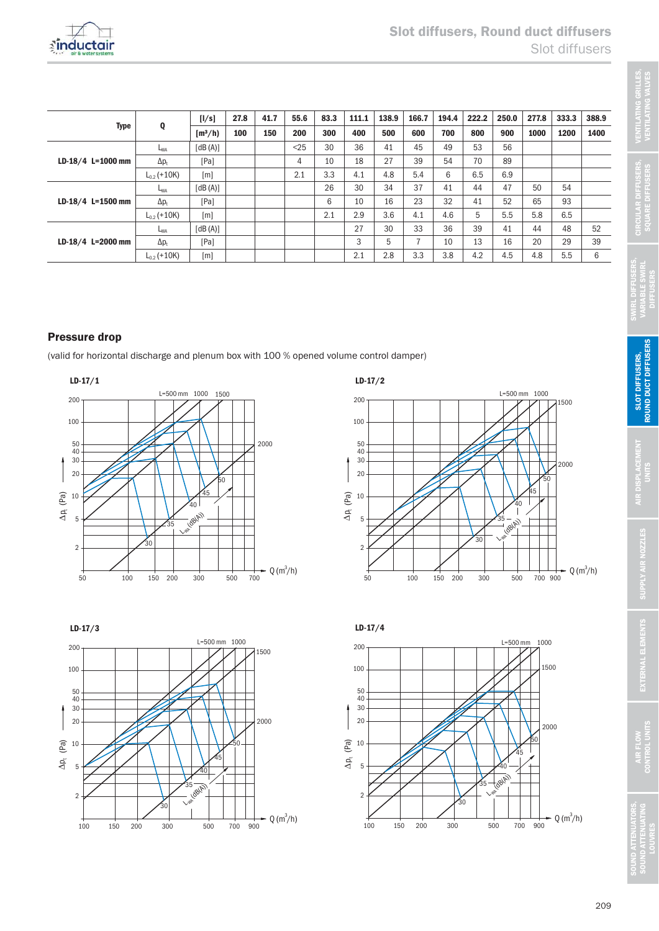

|                     | Q                | [1/s]     | 27.8 | 41.7 | 55.6 | 83.3 | 111.1 | 138.9 | 166.7 | 194.4 | 222.2 | 250.0 | 277.8 | 333.3 | 388.9 |
|---------------------|------------------|-----------|------|------|------|------|-------|-------|-------|-------|-------|-------|-------|-------|-------|
| Type                |                  | $[m^3/h]$ | 100  | 150  | 200  | 300  | 400   | 500   | 600   | 700   | 800   | 900   | 1000  | 1200  | 1400  |
|                     | L <sub>WA</sub>  | [dB(A)]   |      |      | $25$ | 30   | 36    | 41    | 45    | 49    | 53    | 56    |       |       |       |
| LD-18/4 L=1000 mm   | $\Delta p_t$     | [Pa]      |      |      | 4    | 10   | 18    | 27    | 39    | 54    | 70    | 89    |       |       |       |
|                     | $L_{0.2}$ (+10K) | [m]       |      |      | 2.1  | 3.3  | 4.1   | 4.8   | 5.4   | 6     | 6.5   | 6.9   |       |       |       |
|                     | L <sub>WA</sub>  | [dB(A)]   |      |      |      | 26   | 30    | 34    | 37    | 41    | 44    | 47    | 50    | 54    |       |
| $LD-18/4$ L=1500 mm | $\Delta p_t$     | [Pa]      |      |      |      | 6    | 10    | 16    | 23    | 32    | 41    | 52    | 65    | 93    |       |
|                     | $L_{0.2}$ (+10K) | [m]       |      |      |      | 2.1  | 2.9   | 3.6   | 4.1   | 4.6   | 5     | 5.5   | 5.8   | 6.5   |       |
|                     | L <sub>WA</sub>  | [dB(A)]   |      |      |      |      | 27    | 30    | 33    | 36    | 39    | 41    | 44    | 48    | 52    |
| $LD-18/4$ L=2000 mm | $\Delta p_t$     | [Pa]      |      |      |      |      | 3     | 5     |       | 10    | 13    | 16    | 20    | 29    | 39    |
|                     | $L_{02}$ (+10K)  | [m]       |      |      |      |      | 2.1   | 2.8   | 3.3   | 3.8   | 4.2   | 4.5   | 4.8   | 5.5   | 6     |

# Pressure drop

(valid for horizontal discharge and plenum box with 100 % opened volume control damper)









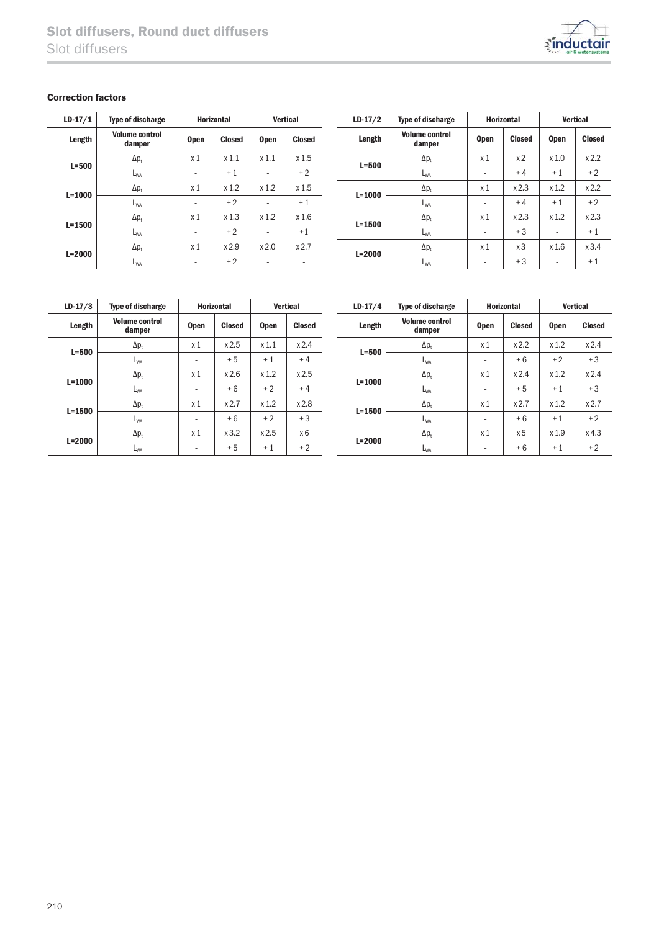

### Correction factors

| $LD-17/1$  | <b>Type of discharge</b>        | <b>Horizontal</b> |                  | <b>Vertical</b> |                  |  |
|------------|---------------------------------|-------------------|------------------|-----------------|------------------|--|
| Length     | <b>Volume control</b><br>damper | <b>Open</b>       | <b>Closed</b>    | <b>Open</b>     | <b>Closed</b>    |  |
| $L = 500$  | $\Delta p_t$                    | x <sub>1</sub>    | x <sub>1.1</sub> | $x$ 1.1         | x <sub>1.5</sub> |  |
|            | $L_{WA}$                        | ٠                 | $+1$             |                 | $+2$             |  |
| $L = 1000$ | $\Delta p_t$                    | x <sub>1</sub>    | x 1.2            | x 1.2           | x <sub>1.5</sub> |  |
|            | $L_{WA}$                        | ٠                 | $+2$             |                 | $+1$             |  |
| $L = 1500$ | $\Delta p_t$                    | x <sub>1</sub>    | x <sub>1.3</sub> | x 1.2           | x 1.6            |  |
|            | $L_{WA}$                        | ٠                 | $+2$             | ٠               | $+1$             |  |
|            | $\Delta p_t$                    | x <sub>1</sub>    | x2.9             | x 2.0           | x2.7             |  |
| $L = 2000$ | $L_{WA}$                        | ٠                 | $+2$             | ٠               | ۰                |  |

| $LD-17/2$  | <b>Type of discharge</b>        | <b>Horizontal</b> |                |             | <b>Vertical</b> |
|------------|---------------------------------|-------------------|----------------|-------------|-----------------|
| Length     | <b>Volume control</b><br>damper |                   | <b>Closed</b>  | <b>Open</b> | <b>Closed</b>   |
| $L = 500$  | $\Delta p_t$                    | x <sub>1</sub>    | x <sub>2</sub> | x 1.0       | x 2.2           |
|            | L <sub>WA</sub>                 | -                 | $+4$           | $+1$        | $+2$            |
| $L = 1000$ | $\Delta p_t$                    | x <sub>1</sub>    | x2.3           | x 1.2       | x 2.2           |
|            | L <sub>WA</sub>                 |                   | $+4$           | $+1$        | $+2$            |
| $L = 1500$ | $\Delta p_t$                    | x <sub>1</sub>    | x2.3           | x 1.2       | x 2.3           |
|            | $L_{WA}$                        |                   | $+3$           |             | $+1$            |
| $L = 2000$ | $\Delta p_t$                    | x <sub>1</sub>    | x <sub>3</sub> | x 1.6       | x3.4            |
|            | L <sub>WA</sub>                 |                   | $+3$           |             | $+1$            |

| $LD-17/3$  | <b>Type of discharge</b>        | <b>Horizontal</b>        |               | <b>Vertical</b> |               | $LD-17/4$  | <b>Type of discharge</b>        | <b>Horizontal</b>        |                | <b>Vertical</b>  |               |
|------------|---------------------------------|--------------------------|---------------|-----------------|---------------|------------|---------------------------------|--------------------------|----------------|------------------|---------------|
| Length     | <b>Volume control</b><br>damper | <b>Open</b>              | <b>Closed</b> | <b>Open</b>     | <b>Closed</b> | Length     | <b>Volume control</b><br>damper | <b>Open</b>              | <b>Closed</b>  | <b>Open</b>      | <b>Closed</b> |
| $L=500$    | $\Delta p_t$                    | x <sub>1</sub>           | x2.5          | x 1.1           | x2.4          |            | $\Delta p_t$                    | x <sub>1</sub>           | x 2.2          | x 1.2            | x2.4          |
|            | L <sub>WA</sub>                 | $\sim$                   | $+5$          | $+1$            | $+4$          | $L = 500$  | L <sub>WA</sub>                 | ۰                        | $+6$           | $+2$             | $+3$          |
|            | $\Delta p_t$                    | x <sub>1</sub>           | x 2.6         | x 1.2           | x2.5          |            | $\Delta p_t$                    | x <sub>1</sub>           | x 2.4          | x 1.2            | x2.4          |
| $L = 1000$ | L <sub>WA</sub>                 | $\overline{\phantom{a}}$ | $+6$          | $+2$            | $+4$          | $L = 1000$ | L <sub>WA</sub>                 | $\overline{\phantom{a}}$ | $+5$           | $+1$             | $+3$          |
|            | $\Delta p_t$                    | x <sub>1</sub>           | x 2.7         | x 1.2           | x 2.8         |            | $\Delta p_t$                    | x <sub>1</sub>           | x2.7           | x 1.2            | x2.7          |
| $L = 1500$ | L <sub>WA</sub>                 | $\sim$                   | $+6$          | $+2$            | $+3$          | $L = 1500$ | L <sub>WA</sub>                 | $\overline{\phantom{a}}$ | $+6$           | $+1$             | $+2$          |
|            | $\Delta p_t$                    | x <sub>1</sub>           | x3.2          | x2.5            | x6            |            | $\Delta p_t$                    | x <sub>1</sub>           | x <sub>5</sub> | x <sub>1.9</sub> | $x$ 4.3       |
| $L = 2000$ | L <sub>WA</sub>                 | $\overline{\phantom{a}}$ | $+5$          | $+1$            | $+2$          | $L = 2000$ | L <sub>WA</sub>                 | -                        | $+6$           | $+1$             | $+2$          |
|            |                                 |                          |               |                 |               |            |                                 |                          |                |                  |               |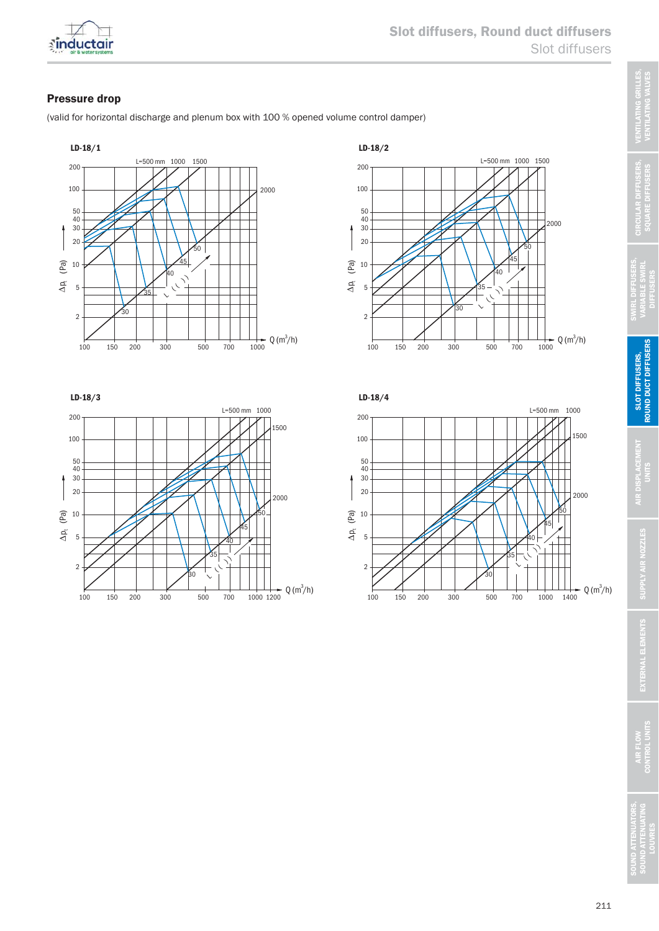

## Pressure drop

(valid for horizontal discharge and plenum box with 100 % opened volume control damper)









**DIFFUSERS** 

AIR FLOW<br>CONTROL UNITS

ND ATTENUATO<br>IND ATTENUATI